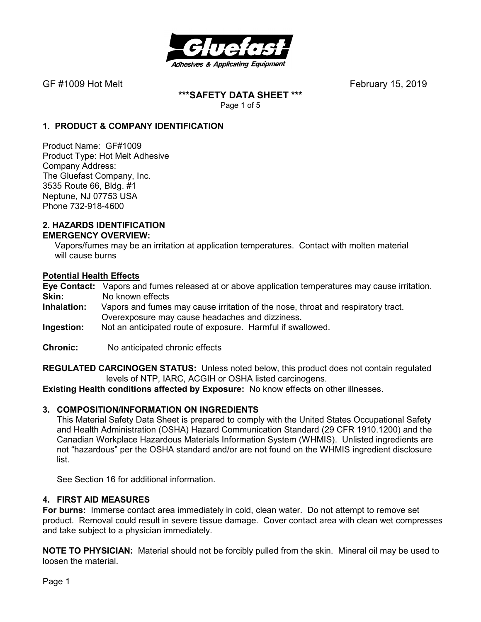

**\*\*\*SAFETY DATA SHEET \*\*\***  Page 1 of 5

# **1. PRODUCT & COMPANY IDENTIFICATION**

Product Name: GF#1009 Product Type: Hot Melt Adhesive Company Address: The Gluefast Company, Inc. 3535 Route 66, Bldg. #1 Neptune, NJ 07753 USA Phone 732-918-4600

#### **2. HAZARDS IDENTIFICATION EMERGENCY OVERVIEW:**

 Vapors/fumes may be an irritation at application temperatures. Contact with molten material will cause burns

# **Potential Health Effects**

**Eye Contact:** Vapors and fumes released at or above application temperatures may cause irritation. **Skin:** No known effects<br>**Inhalation:** Vapors and fumes

- Vapors and fumes may cause irritation of the nose, throat and respiratory tract. Overexposure may cause headaches and dizziness.
- **Ingestion:** Not an anticipated route of exposure. Harmful if swallowed.
- **Chronic:** No anticipated chronic effects

**REGULATED CARCINOGEN STATUS:** Unless noted below, this product does not contain regulated levels of NTP, IARC, ACGIH or OSHA listed carcinogens.

**Existing Health conditions affected by Exposure:** No know effects on other illnesses.

# **3. COMPOSITION/INFORMATION ON INGREDIENTS**

This Material Safety Data Sheet is prepared to comply with the United States Occupational Safety and Health Administration (OSHA) Hazard Communication Standard (29 CFR 1910.1200) and the Canadian Workplace Hazardous Materials Information System (WHMIS). Unlisted ingredients are not "hazardous" per the OSHA standard and/or are not found on the WHMIS ingredient disclosure list.

See Section 16 for additional information.

#### **4. FIRST AID MEASURES**

**For burns:** Immerse contact area immediately in cold, clean water. Do not attempt to remove set product. Removal could result in severe tissue damage. Cover contact area with clean wet compresses and take subject to a physician immediately.

**NOTE TO PHYSICIAN:** Material should not be forcibly pulled from the skin. Mineral oil may be used to loosen the material.

Page 1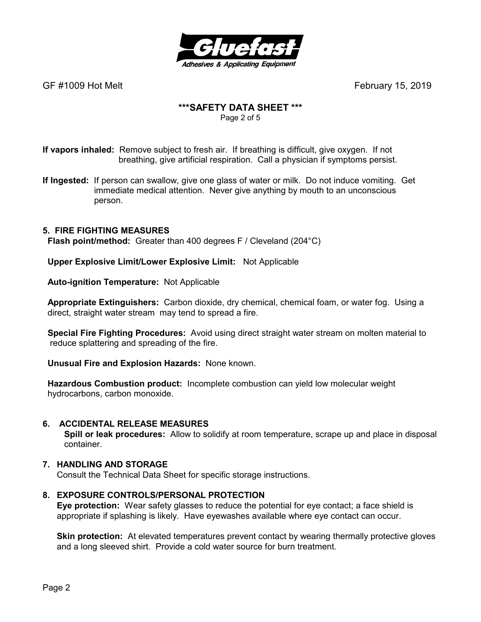

# **\*\*\*SAFETY DATA SHEET \*\*\***

Page 2 of 5

**If vapors inhaled:** Remove subject to fresh air. If breathing is difficult, give oxygen. If not breathing, give artificial respiration. Call a physician if symptoms persist.

**If Ingested:** If person can swallow, give one glass of water or milk. Do not induce vomiting. Get immediate medical attention. Never give anything by mouth to an unconscious person.

# **5. FIRE FIGHTING MEASURES**

 **Flash point/method:** Greater than 400 degrees F / Cleveland (204°C)

 **Upper Explosive Limit/Lower Explosive Limit:** Not Applicable

 **Auto-ignition Temperature:** Not Applicable

 **Appropriate Extinguishers:** Carbon dioxide, dry chemical, chemical foam, or water fog. Using a direct, straight water stream may tend to spread a fire.

 **Special Fire Fighting Procedures:** Avoid using direct straight water stream on molten material to reduce splattering and spreading of the fire.

 **Unusual Fire and Explosion Hazards:** None known.

 **Hazardous Combustion product:** Incomplete combustion can yield low molecular weight hydrocarbons, carbon monoxide.

# **6. ACCIDENTAL RELEASE MEASURES**

 **Spill or leak procedures:** Allow to solidify at room temperature, scrape up and place in disposal container.

# **7. HANDLING AND STORAGE**

Consult the Technical Data Sheet for specific storage instructions.

# **8. EXPOSURE CONTROLS/PERSONAL PROTECTION**

**Eye protection:** Wear safety glasses to reduce the potential for eye contact; a face shield is appropriate if splashing is likely. Have eyewashes available where eye contact can occur.

**Skin protection:** At elevated temperatures prevent contact by wearing thermally protective gloves and a long sleeved shirt. Provide a cold water source for burn treatment.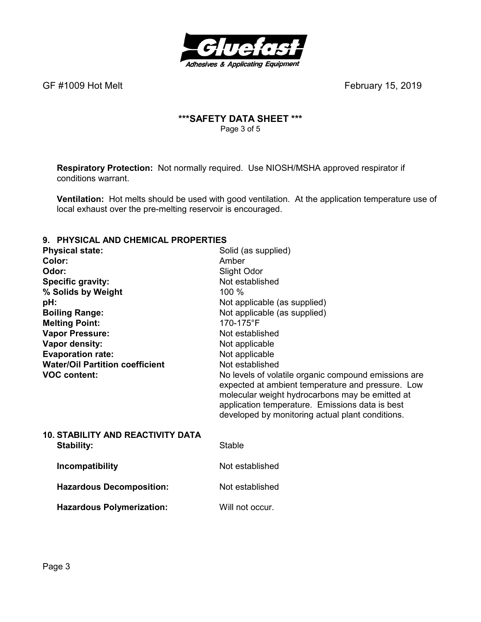

# **\*\*\*SAFETY DATA SHEET \*\*\***  Page 3 of 5

**Respiratory Protection:** Not normally required.Use NIOSH/MSHA approved respirator if conditions warrant.

**Ventilation:** Hot melts should be used with good ventilation. At the application temperature use of local exhaust over the pre-melting reservoir is encouraged.

# **9. PHYSICAL AND CHEMICAL PROPERTIES**

| <b>Physical state:</b>                   | Solid (as supplied)                                                                                                                                                                                                                                                 |
|------------------------------------------|---------------------------------------------------------------------------------------------------------------------------------------------------------------------------------------------------------------------------------------------------------------------|
| Color:                                   | Amber                                                                                                                                                                                                                                                               |
| Odor:                                    | Slight Odor                                                                                                                                                                                                                                                         |
| <b>Specific gravity:</b>                 | Not established                                                                                                                                                                                                                                                     |
| % Solids by Weight                       | 100 %                                                                                                                                                                                                                                                               |
| pH:                                      | Not applicable (as supplied)                                                                                                                                                                                                                                        |
| <b>Boiling Range:</b>                    | Not applicable (as supplied)                                                                                                                                                                                                                                        |
| <b>Melting Point:</b>                    | 170-175°F                                                                                                                                                                                                                                                           |
| <b>Vapor Pressure:</b>                   | Not established                                                                                                                                                                                                                                                     |
| Vapor density:                           | Not applicable                                                                                                                                                                                                                                                      |
| <b>Evaporation rate:</b>                 | Not applicable                                                                                                                                                                                                                                                      |
| <b>Water/Oil Partition coefficient</b>   | Not established                                                                                                                                                                                                                                                     |
| <b>VOC content:</b>                      | No levels of volatile organic compound emissions are<br>expected at ambient temperature and pressure. Low<br>molecular weight hydrocarbons may be emitted at<br>application temperature. Emissions data is best<br>developed by monitoring actual plant conditions. |
| <b>10. STABILITY AND REACTIVITY DATA</b> |                                                                                                                                                                                                                                                                     |
| Stability:                               | Stable                                                                                                                                                                                                                                                              |
| Incompatibility                          | Not established                                                                                                                                                                                                                                                     |
| <b>Hazardous Decomposition:</b>          | Not established                                                                                                                                                                                                                                                     |
| <b>Hazardous Polymerization:</b>         | Will not occur.                                                                                                                                                                                                                                                     |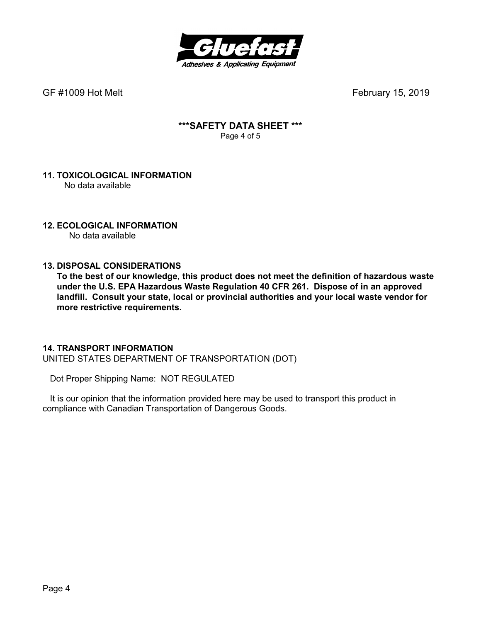

# **\*\*\*SAFETY DATA SHEET \*\*\***  Page 4 of 5

#### **11. TOXICOLOGICAL INFORMATION**  No data available

# **12. ECOLOGICAL INFORMATION**

No data available

# **13. DISPOSAL CONSIDERATIONS**

**To the best of our knowledge, this product does not meet the definition of hazardous waste under the U.S. EPA Hazardous Waste Regulation 40 CFR 261. Dispose of in an approved landfill. Consult your state, local or provincial authorities and your local waste vendor for more restrictive requirements.** 

# **14. TRANSPORT INFORMATION**

UNITED STATES DEPARTMENT OF TRANSPORTATION (DOT)

Dot Proper Shipping Name: NOT REGULATED

 It is our opinion that the information provided here may be used to transport this product in compliance with Canadian Transportation of Dangerous Goods.